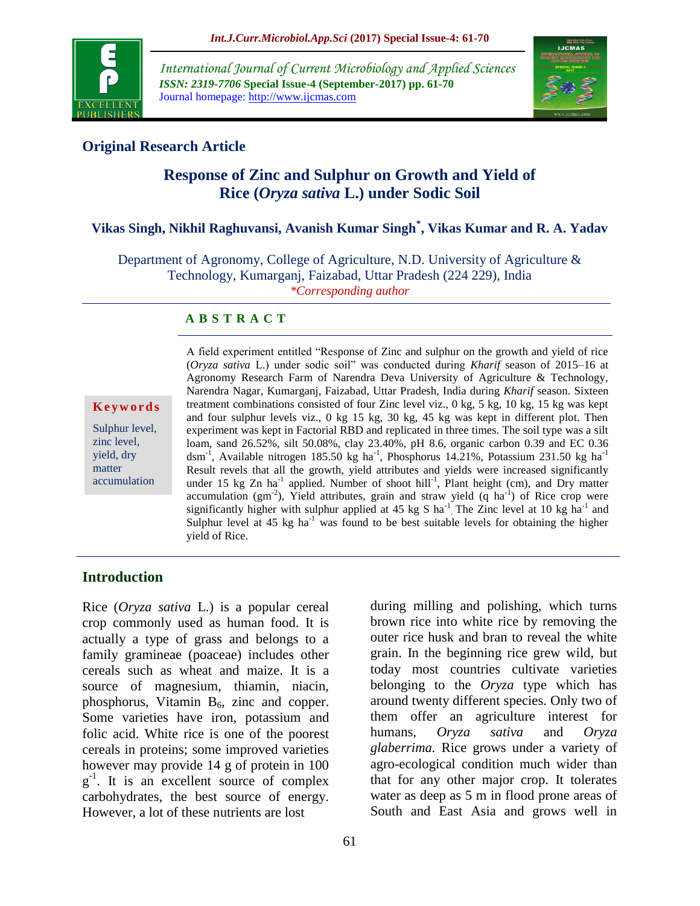

*International Journal of Current Microbiology and Applied Sciences ISSN: 2319-7706* **Special Issue-4 (September-2017) pp. 61-70** Journal homepage: http://www.ijcmas.com



## **Original Research Article**

# **Response of Zinc and Sulphur on Growth and Yield of Rice (***Oryza sativa* **L.) under Sodic Soil**

# **Vikas Singh, Nikhil Raghuvansi, Avanish Kumar Singh\* , Vikas Kumar and R. A. Yadav**

Department of Agronomy, College of Agriculture, N.D. University of Agriculture & Technology, Kumarganj, Faizabad, Uttar Pradesh (224 229), India *\*Corresponding author*

#### **A B S T R A C T**

#### **K e y w o r d s**

Sulphur level, zinc level, yield, dry matter accumulation

A field experiment entitled "Response of Zinc and sulphur on the growth and yield of rice (*Oryza sativa* L.) under sodic soil" was conducted during *Kharif* season of 2015–16 at Agronomy Research Farm of Narendra Deva University of Agriculture & Technology, Narendra Nagar, Kumarganj, Faizabad, Uttar Pradesh, India during *Kharif* season. Sixteen treatment combinations consisted of four Zinc level viz., 0 kg, 5 kg, 10 kg, 15 kg was kept and four sulphur levels viz., 0 kg 15 kg, 30 kg, 45 kg was kept in different plot. Then experiment was kept in Factorial RBD and replicated in three times. The soil type was a silt loam, sand 26.52%, silt 50.08%, clay 23.40%, pH 8.6, organic carbon 0.39 and EC 0.36 dsm<sup>-1</sup>, Available nitrogen 185.50 kg ha<sup>-1</sup>, Phosphorus 14.21%, Potassium 231.50 kg ha<sup>-1</sup> Result revels that all the growth, yield attributes and yields were increased significantly under 15 kg Zn ha<sup>-1</sup> applied. Number of shoot hill<sup>-1</sup>, Plant height (cm), and Dry matter accumulation (gm<sup>-2</sup>), Yield attributes, grain and straw yield (q ha<sup>-1</sup>) of Rice crop were significantly higher with sulphur applied at 45 kg S ha<sup>-1</sup> The Zinc level at 10 kg ha<sup>-1</sup> and Sulphur level at  $45 \text{ kg}$  ha<sup>-1</sup> was found to be best suitable levels for obtaining the higher yield of Rice.

#### **Introduction**

Rice (*Oryza sativa* L.) is a popular cereal crop commonly used as human food. It is actually a type of grass and belongs to a family gramineae (poaceae) includes other cereals such as wheat and maize. It is a source of magnesium, thiamin, niacin, phosphorus, Vitamin  $B_6$ , zinc and copper. Some varieties have iron, potassium and folic acid. White rice is one of the poorest cereals in proteins; some improved varieties however may provide 14 g of protein in 100 g<sup>-1</sup>. It is an excellent source of complex carbohydrates, the best source of energy. However, a lot of these nutrients are lost

during milling and polishing, which turns brown rice into white rice by removing the outer rice husk and bran to reveal the white grain. In the beginning rice grew wild, but today most countries cultivate varieties belonging to the *Oryza* type which has around twenty different species. Only two of them offer an agriculture interest for humans, *Oryza sativa* and *Oryza glaberrima.* Rice grows under a variety of agro-ecological condition much wider than that for any other major crop. It tolerates water as deep as 5 m in flood prone areas of South and East Asia and grows well in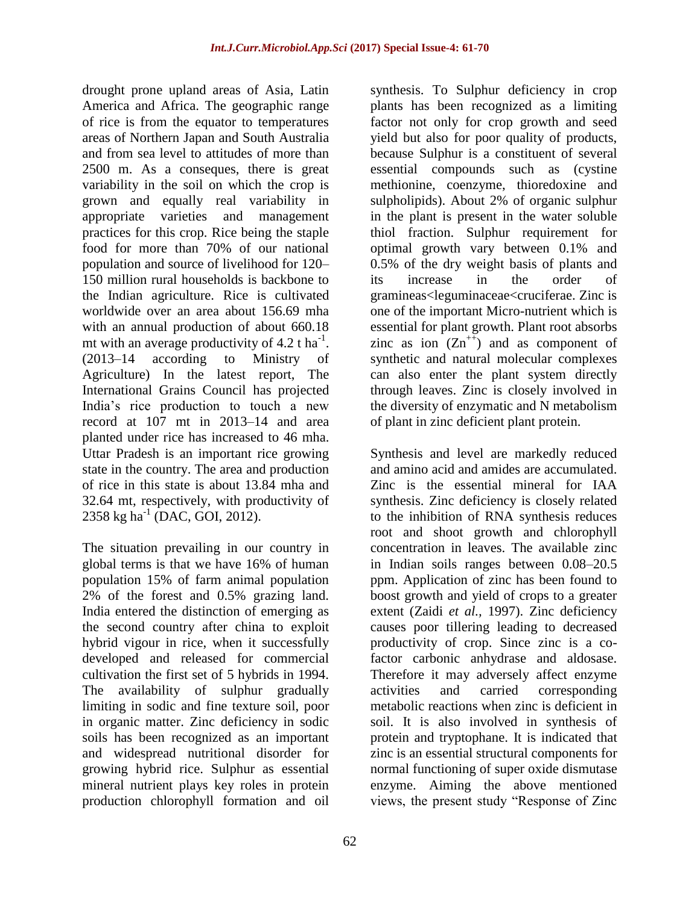drought prone upland areas of Asia, Latin America and Africa. The geographic range of rice is from the equator to temperatures areas of Northern Japan and South Australia and from sea level to attitudes of more than 2500 m. As a conseques, there is great variability in the soil on which the crop is grown and equally real variability in appropriate varieties and management practices for this crop. Rice being the staple food for more than 70% of our national population and source of livelihood for 120– 150 million rural households is backbone to the Indian agriculture. Rice is cultivated worldwide over an area about 156.69 mha with an annual production of about 660.18 mt with an average productivity of  $4.2$  t ha<sup>-1</sup>. (2013–14 according to Ministry of Agriculture) In the latest report, The International Grains Council has projected India's rice production to touch a new record at 107 mt in 2013–14 and area planted under rice has increased to 46 mha. Uttar Pradesh is an important rice growing state in the country. The area and production of rice in this state is about 13.84 mha and 32.64 mt, respectively, with productivity of  $2358 \text{ kg ha}^{-1}$  (DAC, GOI, 2012).

The situation prevailing in our country in global terms is that we have 16% of human population 15% of farm animal population 2% of the forest and 0.5% grazing land. India entered the distinction of emerging as the second country after china to exploit hybrid vigour in rice, when it successfully developed and released for commercial cultivation the first set of 5 hybrids in 1994. The availability of sulphur gradually limiting in sodic and fine texture soil, poor in organic matter. Zinc deficiency in sodic soils has been recognized as an important and widespread nutritional disorder for growing hybrid rice. Sulphur as essential mineral nutrient plays key roles in protein production chlorophyll formation and oil

synthesis. To Sulphur deficiency in crop plants has been recognized as a limiting factor not only for crop growth and seed yield but also for poor quality of products, because Sulphur is a constituent of several essential compounds such as (cystine methionine, coenzyme, thioredoxine and sulpholipids). About 2% of organic sulphur in the plant is present in the water soluble thiol fraction. Sulphur requirement for optimal growth vary between 0.1% and 0.5% of the dry weight basis of plants and its increase in the order of gramineas<leguminaceae<cruciferae. Zinc is one of the important Micro-nutrient which is essential for plant growth. Plant root absorbs zinc as ion  $(Zn^{++})$  and as component of synthetic and natural molecular complexes can also enter the plant system directly through leaves. Zinc is closely involved in the diversity of enzymatic and N metabolism of plant in zinc deficient plant protein.

Synthesis and level are markedly reduced and amino acid and amides are accumulated. Zinc is the essential mineral for IAA synthesis. Zinc deficiency is closely related to the inhibition of RNA synthesis reduces root and shoot growth and chlorophyll concentration in leaves. The available zinc in Indian soils ranges between 0.08–20.5 ppm. Application of zinc has been found to boost growth and yield of crops to a greater extent (Zaidi *et al.,* 1997). Zinc deficiency causes poor tillering leading to decreased productivity of crop. Since zinc is a cofactor carbonic anhydrase and aldosase. Therefore it may adversely affect enzyme activities and carried corresponding metabolic reactions when zinc is deficient in soil. It is also involved in synthesis of protein and tryptophane. It is indicated that zinc is an essential structural components for normal functioning of super oxide dismutase enzyme. Aiming the above mentioned views, the present study "Response of Zinc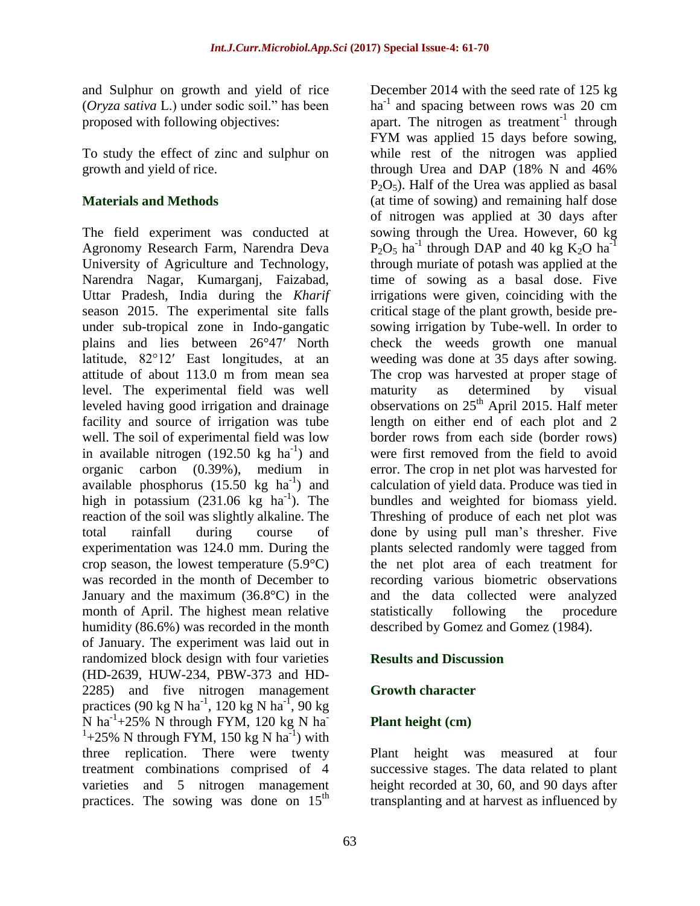and Sulphur on growth and yield of rice (*Oryza sativa* L.) under sodic soil." has been proposed with following objectives:

To study the effect of zinc and sulphur on growth and yield of rice.

#### **Materials and Methods**

The field experiment was conducted at Agronomy Research Farm, Narendra Deva University of Agriculture and Technology, Narendra Nagar, Kumarganj, Faizabad, Uttar Pradesh, India during the *Kharif*  season 2015. The experimental site falls under sub-tropical zone in Indo-gangatic plains and lies between 26°47′ North latitude, 82°12′ East longitudes, at an attitude of about 113.0 m from mean sea level. The experimental field was well leveled having good irrigation and drainage facility and source of irrigation was tube well. The soil of experimental field was low in available nitrogen  $(192.50 \text{ kg ha}^{-1})$  and organic carbon (0.39%), medium in available phosphorus  $(15.50 \text{ kg} \text{ ha}^{-1})$  and high in potassium  $(231.06 \text{ kg} \text{ ha}^{-1})$ . The reaction of the soil was slightly alkaline. The total rainfall during course of experimentation was 124.0 mm. During the crop season, the lowest temperature  $(5.9^{\circ}C)$ was recorded in the month of December to January and the maximum (36.8°C) in the month of April. The highest mean relative humidity (86.6%) was recorded in the month of January. The experiment was laid out in randomized block design with four varieties (HD-2639, HUW-234, PBW-373 and HD-2285) and five nitrogen management practices (90 kg N ha<sup>-1</sup>, 120 kg N ha<sup>-1</sup>, 90 kg  $\overline{N}$  ha<sup>-1</sup>+25% N through FYM, 120 kg N ha<sup>-1</sup>  $1+25\%$  N through FYM, 150 kg N ha<sup>-1</sup>) with three replication. There were twenty treatment combinations comprised of 4 varieties and 5 nitrogen management practices. The sowing was done on  $15<sup>th</sup>$ 

December 2014 with the seed rate of 125 kg  $ha^{-1}$  and spacing between rows was 20 cm apart. The nitrogen as treatment<sup>-1</sup> through FYM was applied 15 days before sowing, while rest of the nitrogen was applied through Urea and DAP (18% N and 46%  $P_2O_5$ ). Half of the Urea was applied as basal (at time of sowing) and remaining half dose of nitrogen was applied at 30 days after sowing through the Urea. However, 60 kg  $P_2O_5$  ha<sup>-1</sup> through DAP and 40 kg K<sub>2</sub>O ha<sup>-1</sup> through muriate of potash was applied at the time of sowing as a basal dose. Five irrigations were given, coinciding with the critical stage of the plant growth, beside presowing irrigation by Tube-well. In order to check the weeds growth one manual weeding was done at 35 days after sowing. The crop was harvested at proper stage of maturity as determined by visual observations on  $25<sup>th</sup>$  April 2015. Half meter length on either end of each plot and 2 border rows from each side (border rows) were first removed from the field to avoid error. The crop in net plot was harvested for calculation of yield data. Produce was tied in bundles and weighted for biomass yield. Threshing of produce of each net plot was done by using pull man's thresher. Five plants selected randomly were tagged from the net plot area of each treatment for recording various biometric observations and the data collected were analyzed statistically following the procedure described by Gomez and Gomez (1984).

#### **Results and Discussion**

#### **Growth character**

#### **Plant height (cm)**

Plant height was measured at four successive stages. The data related to plant height recorded at 30, 60, and 90 days after transplanting and at harvest as influenced by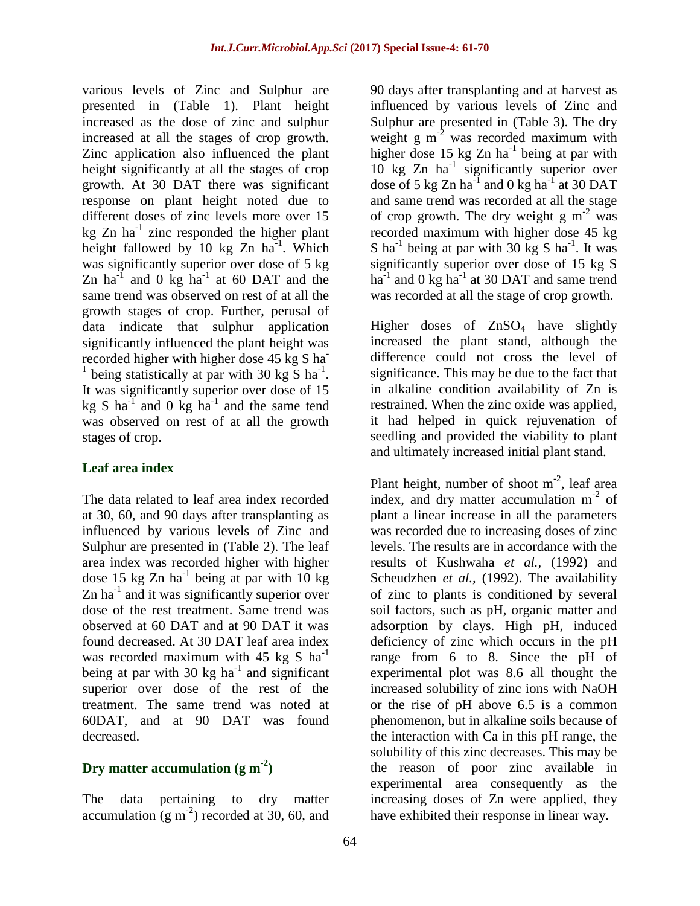various levels of Zinc and Sulphur are presented in (Table 1). Plant height increased as the dose of zinc and sulphur increased at all the stages of crop growth. Zinc application also influenced the plant height significantly at all the stages of crop growth. At 30 DAT there was significant response on plant height noted due to different doses of zinc levels more over 15 kg  $Zn$  ha<sup>-1</sup> zinc responded the higher plant height fallowed by 10 kg  $Zn$  ha<sup>-1</sup>. Which was significantly superior over dose of 5 kg Zn ha<sup>-1</sup> and 0 kg ha<sup>-1</sup> at 60 DAT and the same trend was observed on rest of at all the growth stages of crop. Further, perusal of data indicate that sulphur application significantly influenced the plant height was recorded higher with higher dose 45 kg S ha <sup>1</sup> being statistically at par with 30 kg  $\overline{S}$  ha<sup>-1</sup>. It was significantly superior over dose of 15 kg S ha<sup>-1</sup> and 0 kg ha<sup>-1</sup> and the same tend was observed on rest of at all the growth stages of crop.

#### **Leaf area index**

The data related to leaf area index recorded at 30, 60, and 90 days after transplanting as influenced by various levels of Zinc and Sulphur are presented in (Table 2). The leaf area index was recorded higher with higher dose 15 kg Zn ha<sup>-1</sup> being at par with 10 kg Zn ha<sup>-1</sup> and it was significantly superior over dose of the rest treatment. Same trend was observed at 60 DAT and at 90 DAT it was found decreased. At 30 DAT leaf area index was recorded maximum with 45 kg S  $ha^{-1}$ being at par with 30 kg ha<sup>-1</sup> and significant superior over dose of the rest of the treatment. The same trend was noted at 60DAT, and at 90 DAT was found decreased.

## **Dry matter accumulation (g m-2 )**

The data pertaining to dry matter accumulation  $(g m<sup>-2</sup>)$  recorded at 30, 60, and 90 days after transplanting and at harvest as influenced by various levels of Zinc and Sulphur are presented in (Table 3). The dry weight g  $m<sup>-2</sup>$  was recorded maximum with higher dose  $15 \text{ kg Zn}$  ha<sup>-1</sup> being at par with 10 kg Zn ha<sup>-1</sup> significantly superior over dose of 5 kg Zn ha<sup>-1</sup> and 0 kg ha<sup>-1</sup> at 30 DAT and same trend was recorded at all the stage of crop growth. The dry weight g  $m<sup>-2</sup>$  was recorded maximum with higher dose 45 kg S ha<sup>-1</sup> being at par with 30 kg S ha<sup>-1</sup>. It was significantly superior over dose of 15 kg S ha<sup>-1</sup> and 0 kg ha<sup>-1</sup> at 30 DAT and same trend was recorded at all the stage of crop growth.

Higher doses of ZnSO<sub>4</sub> have slightly increased the plant stand, although the difference could not cross the level of significance. This may be due to the fact that in alkaline condition availability of Zn is restrained. When the zinc oxide was applied, it had helped in quick rejuvenation of seedling and provided the viability to plant and ultimately increased initial plant stand.

Plant height, number of shoot  $m^{-2}$ , leaf area index, and dry matter accumulation  $m<sup>-2</sup>$  of plant a linear increase in all the parameters was recorded due to increasing doses of zinc levels. The results are in accordance with the results of Kushwaha *et al.,* (1992) and Scheudzhen *et al.,* (1992). The availability of zinc to plants is conditioned by several soil factors, such as pH, organic matter and adsorption by clays. High pH, induced deficiency of zinc which occurs in the pH range from 6 to 8. Since the pH of experimental plot was 8.6 all thought the increased solubility of zinc ions with NaOH or the rise of pH above 6.5 is a common phenomenon, but in alkaline soils because of the interaction with Ca in this pH range, the solubility of this zinc decreases. This may be the reason of poor zinc available in experimental area consequently as the increasing doses of Zn were applied, they have exhibited their response in linear way.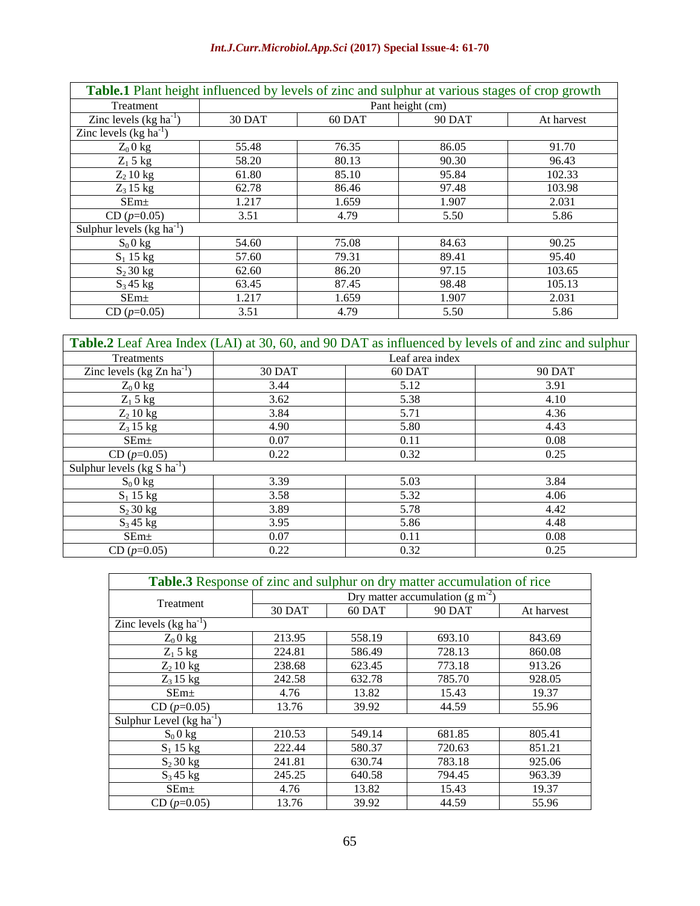#### *Int.J.Curr.Microbiol.App.Sci* **(2017) Special Issue-4: 61-70**

| Table.1 Plant height influenced by levels of zinc and sulphur at various stages of crop growth |                  |        |               |            |
|------------------------------------------------------------------------------------------------|------------------|--------|---------------|------------|
| Treatment                                                                                      | Pant height (cm) |        |               |            |
| Zinc levels $(kg ha^{-1})$                                                                     | 30 DAT           | 60 DAT | <b>90 DAT</b> | At harvest |
| Zinc levels $(kg ha^{-1})$                                                                     |                  |        |               |            |
| $Z_0$ 0 kg                                                                                     | 55.48            | 76.35  | 86.05         | 91.70      |
| $Z_1$ 5 kg                                                                                     | 58.20            | 80.13  | 90.30         | 96.43      |
| $Z_2$ 10 kg                                                                                    | 61.80            | 85.10  | 95.84         | 102.33     |
| $Z_3$ 15 kg                                                                                    | 62.78            | 86.46  | 97.48         | 103.98     |
| SEm <sub>±</sub>                                                                               | 1.217            | 1.659  | 1.907         | 2.031      |
| $CD (p=0.05)$                                                                                  | 3.51             | 4.79   | 5.50          | 5.86       |
| Sulphur levels $(kg ha^{-1})$                                                                  |                  |        |               |            |
| $S_0$ 0 kg                                                                                     | 54.60            | 75.08  | 84.63         | 90.25      |
| $S_1$ 15 kg                                                                                    | 57.60            | 79.31  | 89.41         | 95.40      |
| $S_2$ 30 kg                                                                                    | 62.60            | 86.20  | 97.15         | 103.65     |
| $S_3$ 45 kg                                                                                    | 63.45            | 87.45  | 98.48         | 105.13     |
| SEm <sub>±</sub>                                                                               | 1.217            | 1.659  | 1.907         | 2.031      |
| $CD (p=0.05)$                                                                                  | 3.51             | 4.79   | 5.50          | 5.86       |

| <b>Table.2</b> Leaf Area Index (LAI) at 30, 60, and 90 DAT as influenced by levels of and zinc and sulphur |                 |        |               |  |
|------------------------------------------------------------------------------------------------------------|-----------------|--------|---------------|--|
| Treatments                                                                                                 | Leaf area index |        |               |  |
| Zinc levels $(kg Zn ha^{-1})$                                                                              | 30 DAT          | 60 DAT | <b>90 DAT</b> |  |
| $Z_0$ 0 kg                                                                                                 | 3.44            | 5.12   | 3.91          |  |
| $Z_1$ 5 kg                                                                                                 | 3.62            | 5.38   | 4.10          |  |
| $Z_2$ 10 kg                                                                                                | 3.84            | 5.71   | 4.36          |  |
| $Z_3$ 15 kg                                                                                                | 4.90            | 5.80   | 4.43          |  |
| SEm <sub>±</sub>                                                                                           | 0.07            | 0.11   | 0.08          |  |
| $CD (p=0.05)$                                                                                              | 0.22            | 0.32   | 0.25          |  |
| Sulphur levels $(kg S ha-1)$                                                                               |                 |        |               |  |
| $S_0$ 0 kg                                                                                                 | 3.39            | 5.03   | 3.84          |  |
| $S_1$ 15 kg                                                                                                | 3.58            | 5.32   | 4.06          |  |
| $S_2$ 30 kg                                                                                                | 3.89            | 5.78   | 4.42          |  |
| $S_3$ 45 kg                                                                                                | 3.95            | 5.86   | 4.48          |  |
| SEm <sub>±</sub>                                                                                           | 0.07            | 0.11   | 0.08          |  |
| $CD (p=0.05)$                                                                                              | 0.22            | 0.32   | 0.25          |  |

| Table.3 Response of zinc and sulphur on dry matter accumulation of rice |                                       |        |               |            |  |
|-------------------------------------------------------------------------|---------------------------------------|--------|---------------|------------|--|
| Treatment                                                               | Dry matter accumulation (g $m^{-2}$ ) |        |               |            |  |
|                                                                         | 30 DAT                                | 60 DAT | <b>90 DAT</b> | At harvest |  |
| Zinc levels $(kg ha^{-1})$                                              |                                       |        |               |            |  |
| $Z_0$ 0 kg                                                              | 213.95                                | 558.19 | 693.10        | 843.69     |  |
| $Z_1$ 5 kg                                                              | 224.81                                | 586.49 | 728.13        | 860.08     |  |
| $Z_2$ 10 kg                                                             | 238.68                                | 623.45 | 773.18        | 913.26     |  |
| $Z_3$ 15 kg                                                             | 242.58                                | 632.78 | 785.70        | 928.05     |  |
| SEm <sub>±</sub>                                                        | 4.76                                  | 13.82  | 15.43         | 19.37      |  |
| $CD (p=0.05)$                                                           | 13.76                                 | 39.92  | 44.59         | 55.96      |  |
| Sulphur Level ( $kg \text{ ha}^{-1}$ )                                  |                                       |        |               |            |  |
| $S_0$ 0 kg                                                              | 210.53                                | 549.14 | 681.85        | 805.41     |  |
| $S_1$ 15 kg                                                             | 222.44                                | 580.37 | 720.63        | 851.21     |  |
| $S_2$ 30 kg                                                             | 241.81                                | 630.74 | 783.18        | 925.06     |  |
| $S_3$ 45 kg                                                             | 245.25                                | 640.58 | 794.45        | 963.39     |  |
| SEm <sub>±</sub>                                                        | 4.76                                  | 13.82  | 15.43         | 19.37      |  |
| $CD (p=0.05)$                                                           | 13.76                                 | 39.92  | 44.59         | 55.96      |  |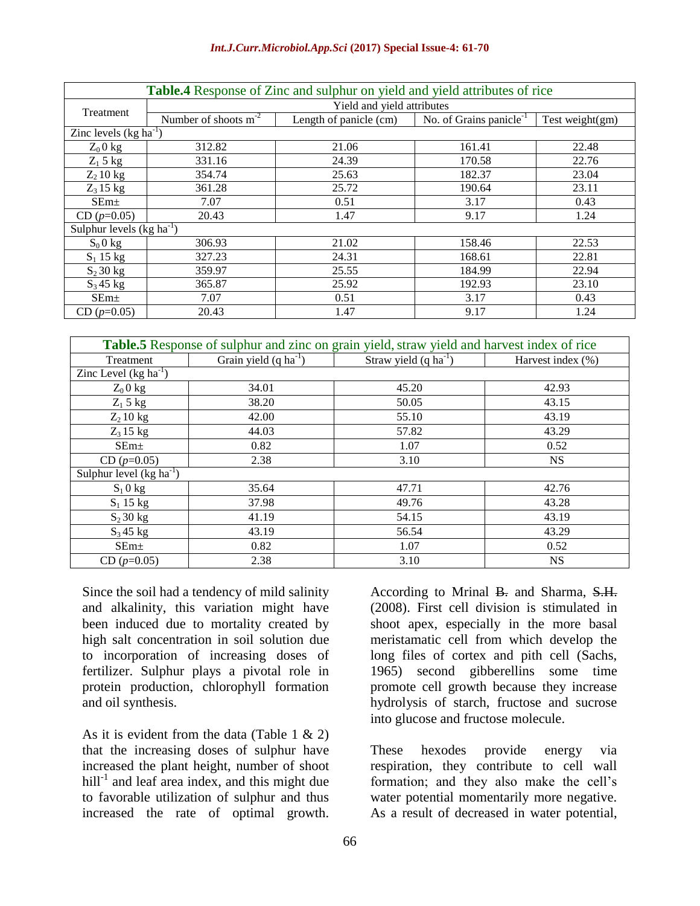#### *Int.J.Curr.Microbiol.App.Sci* **(2017) Special Issue-4: 61-70**

| <b>Table.4</b> Response of Zinc and sulphur on yield and yield attributes of rice |                            |                        |                                     |                    |  |  |
|-----------------------------------------------------------------------------------|----------------------------|------------------------|-------------------------------------|--------------------|--|--|
| Treatment                                                                         | Yield and yield attributes |                        |                                     |                    |  |  |
|                                                                                   | Number of shoots $m^{-2}$  | Length of panicle (cm) | No. of Grains panicle <sup>-1</sup> | Test weight $(gm)$ |  |  |
| Zinc levels $(kg ha^{-1})$                                                        |                            |                        |                                     |                    |  |  |
| $Z_0$ 0 kg                                                                        | 312.82                     | 21.06                  | 161.41                              | 22.48              |  |  |
| $Z_1$ 5 kg                                                                        | 331.16                     | 24.39                  | 170.58                              | 22.76              |  |  |
| $Z_2$ 10 kg                                                                       | 354.74                     | 25.63                  | 182.37                              | 23.04              |  |  |
| $Z_3$ 15 kg                                                                       | 361.28                     | 25.72                  | 190.64                              | 23.11              |  |  |
| $SEm+$                                                                            | 7.07                       | 0.51                   | 3.17                                | 0.43               |  |  |
| $CD (p=0.05)$                                                                     | 20.43                      | 1.47                   | 9.17                                | 1.24               |  |  |
| Sulphur levels $(kg ha^{-1})$                                                     |                            |                        |                                     |                    |  |  |
| $S_0$ 0 kg                                                                        | 306.93                     | 21.02                  | 158.46                              | 22.53              |  |  |
| $S_1$ 15 kg                                                                       | 327.23                     | 24.31                  | 168.61                              | 22.81              |  |  |
| $S_2$ 30 kg                                                                       | 359.97                     | 25.55                  | 184.99                              | 22.94              |  |  |
| $S_3$ 45 kg                                                                       | 365.87                     | 25.92                  | 192.93                              | 23.10              |  |  |
| SEm <sub>±</sub>                                                                  | 7.07                       | 0.51                   | 3.17                                | 0.43               |  |  |
| $CD (p=0.05)$                                                                     | 20.43                      | 1.47                   | 9.17                                | 1.24               |  |  |

| <b>Table.5</b> Response of sulphur and zinc on grain yield, straw yield and harvest index of rice |                                   |                                   |                      |  |  |
|---------------------------------------------------------------------------------------------------|-----------------------------------|-----------------------------------|----------------------|--|--|
| Treatment                                                                                         | Grain yield $(q \text{ ha}^{-1})$ | Straw yield $(q \text{ ha}^{-1})$ | Harvest index $(\%)$ |  |  |
| Zinc Level $(kg ha^{-1})$                                                                         |                                   |                                   |                      |  |  |
| $Z_0$ 0 kg                                                                                        | 34.01                             | 45.20                             | 42.93                |  |  |
| $Z_1$ 5 kg                                                                                        | 38.20                             | 50.05                             | 43.15                |  |  |
| $Z_2$ 10 kg                                                                                       | 42.00                             | 55.10                             | 43.19                |  |  |
| $Z_3$ 15 kg                                                                                       | 44.03                             | 57.82                             | 43.29                |  |  |
| SEm <sub>±</sub>                                                                                  | 0.82                              | 1.07                              | 0.52                 |  |  |
| $CD (p=0.05)$                                                                                     | 2.38                              | 3.10                              | NS.                  |  |  |
| Sulphur level $(kg ha^{-1})$                                                                      |                                   |                                   |                      |  |  |
| $S_1$ 0 kg                                                                                        | 35.64                             | 47.71                             | 42.76                |  |  |
| $S_1$ 15 kg                                                                                       | 37.98                             | 49.76                             | 43.28                |  |  |
| $S_2$ 30 kg                                                                                       | 41.19                             | 54.15                             | 43.19                |  |  |
| $S_3$ 45 kg                                                                                       | 43.19                             | 56.54                             | 43.29                |  |  |
| SEm <sub>±</sub>                                                                                  | 0.82                              | 1.07                              | 0.52                 |  |  |
| $CD (p=0.05)$                                                                                     | 2.38                              | 3.10                              | <b>NS</b>            |  |  |

Since the soil had a tendency of mild salinity and alkalinity, this variation might have been induced due to mortality created by high salt concentration in soil solution due to incorporation of increasing doses of fertilizer. Sulphur plays a pivotal role in protein production, chlorophyll formation and oil synthesis.

As it is evident from the data (Table 1  $\&$  2) that the increasing doses of sulphur have increased the plant height, number of shoot hill $^{-1}$  and leaf area index, and this might due to favorable utilization of sulphur and thus increased the rate of optimal growth.

According to Mrinal B. and Sharma, S.H. (2008). First cell division is stimulated in shoot apex, especially in the more basal meristamatic cell from which develop the long files of cortex and pith cell (Sachs, 1965) second gibberellins some time promote cell growth because they increase hydrolysis of starch, fructose and sucrose into glucose and fructose molecule.

These hexodes provide energy via respiration, they contribute to cell wall formation; and they also make the cell's water potential momentarily more negative. As a result of decreased in water potential,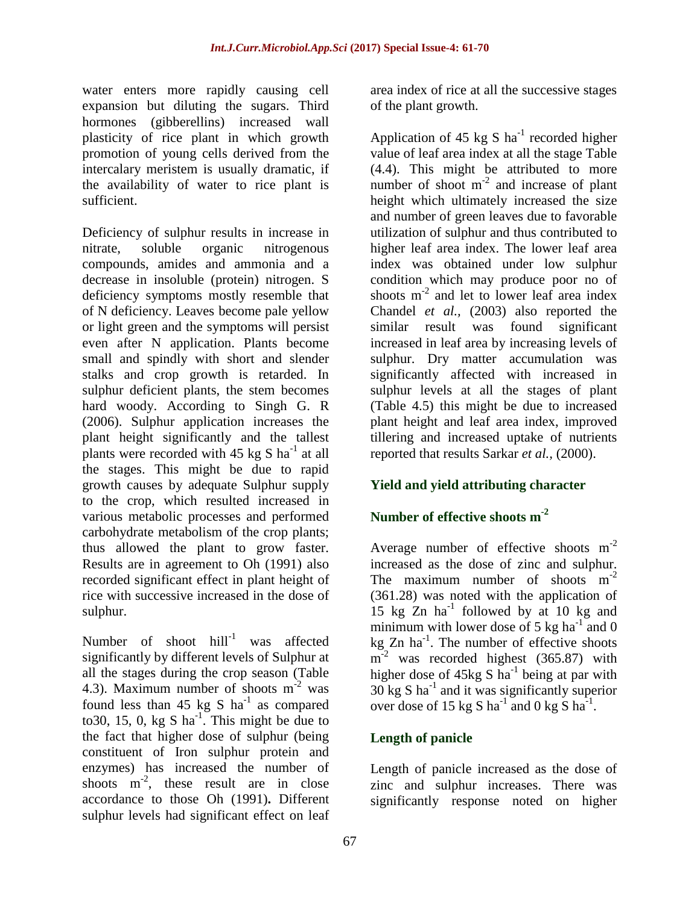water enters more rapidly causing cell expansion but diluting the sugars. Third hormones (gibberellins) increased wall plasticity of rice plant in which growth promotion of young cells derived from the intercalary meristem is usually dramatic, if the availability of water to rice plant is sufficient.

Deficiency of sulphur results in increase in nitrate, soluble organic nitrogenous compounds, amides and ammonia and a decrease in insoluble (protein) nitrogen. S deficiency symptoms mostly resemble that of N deficiency. Leaves become pale yellow or light green and the symptoms will persist even after N application. Plants become small and spindly with short and slender stalks and crop growth is retarded. In sulphur deficient plants, the stem becomes hard woody. According to Singh G. R (2006). Sulphur application increases the plant height significantly and the tallest plants were recorded with  $45 \text{ kg S} \text{ ha}^{-1}$  at all the stages. This might be due to rapid growth causes by adequate Sulphur supply to the crop, which resulted increased in various metabolic processes and performed carbohydrate metabolism of the crop plants; thus allowed the plant to grow faster. Results are in agreement to Oh (1991) also recorded significant effect in plant height of rice with successive increased in the dose of sulphur.

Number of shoot  $hill^{-1}$  was affected significantly by different levels of Sulphur at all the stages during the crop season (Table 4.3). Maximum number of shoots  $m<sup>-2</sup>$  was found less than 45 kg S  $ha^{-1}$  as compared to 30, 15, 0, kg S ha<sup>-1</sup>. This might be due to the fact that higher dose of sulphur (being constituent of Iron sulphur protein and enzymes) has increased the number of shoots  $m^{-2}$ , these result are in close accordance to those Oh (1991)**.** Different sulphur levels had significant effect on leaf

area index of rice at all the successive stages of the plant growth.

Application of 45 kg S  $ha^{-1}$  recorded higher value of leaf area index at all the stage Table (4.4). This might be attributed to more number of shoot  $m<sup>-2</sup>$  and increase of plant height which ultimately increased the size and number of green leaves due to favorable utilization of sulphur and thus contributed to higher leaf area index. The lower leaf area index was obtained under low sulphur condition which may produce poor no of shoots  $m<sup>-2</sup>$  and let to lower leaf area index Chandel *et al.,* (2003) also reported the similar result was found significant increased in leaf area by increasing levels of sulphur. Dry matter accumulation was significantly affected with increased in sulphur levels at all the stages of plant (Table 4.5) this might be due to increased plant height and leaf area index, improved tillering and increased uptake of nutrients reported that results Sarkar *et al.,* (2000).

## **Yield and yield attributing character**

# **Number of effective shoots m-2**

Average number of effective shoots  $m<sup>-2</sup>$ increased as the dose of zinc and sulphur. The maximum number of shoots  $m<sup>-2</sup>$ (361.28) was noted with the application of 15 kg  $Zn$  ha<sup>-1</sup> followed by at 10 kg and minimum with lower dose of 5 kg ha<sup>-1</sup> and 0 kg  $Zn$  ha<sup>-1</sup>. The number of effective shoots m<sup>-2</sup> was recorded highest (365.87) with higher dose of  $45 \text{kg}$  S ha<sup>-1</sup> being at par with  $30 \text{ kg } S$  ha<sup>-1</sup> and it was significantly superior over dose of 15 kg S ha<sup>-1</sup> and 0 kg S ha<sup>-1</sup>.

## **Length of panicle**

Length of panicle increased as the dose of zinc and sulphur increases. There was significantly response noted on higher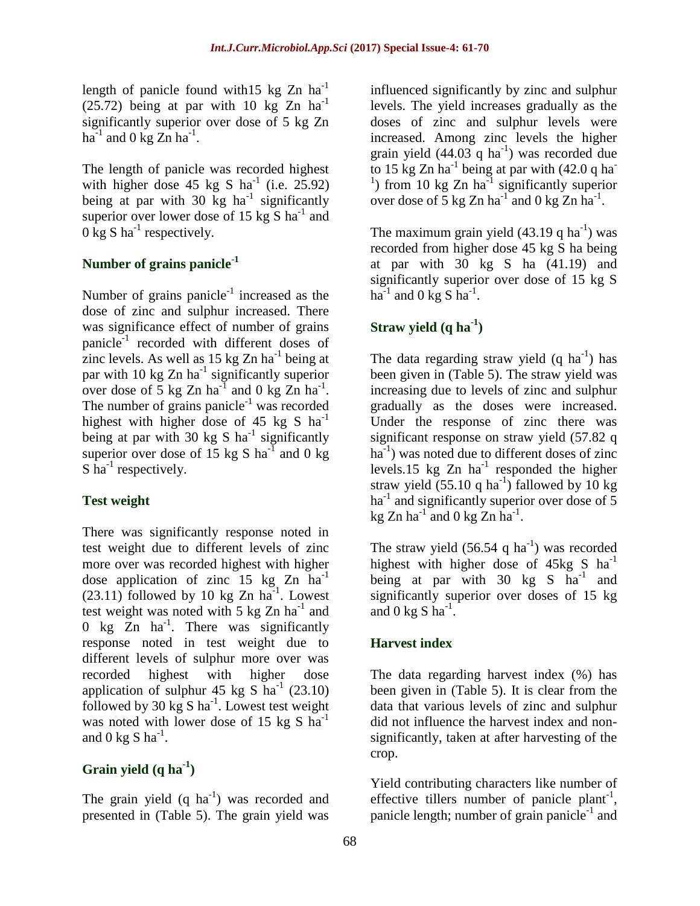length of panicle found with  $15 \text{ kg Zn}$  ha<sup>-1</sup>  $(25.72)$  being at par with 10 kg Zn ha<sup>-1</sup> significantly superior over dose of 5 kg Zn ha<sup>-1</sup> and 0 kg Zn ha<sup>-1</sup>.

The length of panicle was recorded highest with higher dose 45 kg S  $ha^{-1}$  (i.e. 25.92) being at par with 30  $kg$  ha<sup>-1</sup> significantly superior over lower dose of 15  $kg S$  ha<sup>-1</sup> and  $0 \text{ kg } S$  ha<sup>-1</sup> respectively.

## **Number of grains panicle-1**

Number of grains panicle<sup>-1</sup> increased as the dose of zinc and sulphur increased. There was significance effect of number of grains panicle<sup>-1</sup> recorded with different doses of zinc levels. As well as  $15 \text{ kg Zn ha}^{-1}$  being at par with 10  $kg Zn$  ha<sup>-1</sup> significantly superior over dose of 5 kg Zn ha<sup>-1</sup> and 0 kg Zn ha<sup>-1</sup>. The number of grains panicle<sup>-1</sup> was recorded highest with higher dose of 45 kg S  $ha^{-1}$ being at par with 30 kg S ha<sup>-1</sup> significantly superior over dose of 15 kg S ha<sup>-1</sup> and 0 kg  $S$  ha<sup>-1</sup> respectively.

## **Test weight**

There was significantly response noted in test weight due to different levels of zinc more over was recorded highest with higher dose application of zinc  $15 \text{ kg } Zn \text{ ha}^{-1}$  $(23.11)$  followed by 10 kg Zn ha<sup>-1</sup>. Lowest test weight was noted with 5 kg  $Zn$  ha<sup>-1</sup> and 0 kg  $\overline{Z}$ n ha<sup>-1</sup>. There was significantly response noted in test weight due to different levels of sulphur more over was recorded highest with higher dose application of sulphur  $45 \text{ kg } S$  ha<sup>-1</sup> (23.10) followed by 30  $kg S$  ha<sup>-1</sup>. Lowest test weight was noted with lower dose of 15  $kg S$  ha<sup>-1</sup> and 0 kg S  $ha^{-1}$ .

# **Grain yield (q ha-1 )**

The grain yield  $(q \text{ ha}^{-1})$  was recorded and presented in (Table 5). The grain yield was

influenced significantly by zinc and sulphur levels. The yield increases gradually as the doses of zinc and sulphur levels were increased. Among zinc levels the higher grain yield  $(44.03 \text{ q ha}^{-1})$  was recorded due to 15 kg Zn ha<sup>-1</sup> being at par with  $(42.0 q)$  ha<sup>-1</sup> <sup>1</sup>) from 10 kg Zn ha<sup>-1</sup> significantly superior over dose of  $\frac{5}{5}$  kg Zn ha<sup>-1</sup> and 0 kg Zn ha<sup>-1</sup>.

The maximum grain yield  $(43.19 \text{ q ha}^{-1})$  was recorded from higher dose 45 kg S ha being at par with 30 kg S ha (41.19) and significantly superior over dose of 15 kg S ha<sup>-1</sup> and 0 kg S ha<sup>-1</sup>.

# **Straw yield (q ha-1 )**

The data regarding straw yield  $(q \text{ ha}^{-1})$  has been given in (Table 5). The straw yield was increasing due to levels of zinc and sulphur gradually as the doses were increased. Under the response of zinc there was significant response on straw yield (57.82 q ha<sup>-1</sup>) was noted due to different doses of zinc levels.15 kg  $Zn$  ha<sup>-1</sup> responded the higher straw yield  $(55.10 \text{ q ha}^{-1})$  fallowed by 10 kg ha<sup>-1</sup> and significantly superior over dose of 5 kg Zn ha<sup>-1</sup> and 0 kg Zn ha<sup>-1</sup>.

The straw yield  $(56.54 \text{ q ha}^{-1})$  was recorded highest with higher dose of  $45kg S$  ha<sup>-1</sup> being at par with  $30 \text{ kg}$  S ha<sup>-1</sup> and significantly superior over doses of 15 kg and 0 kg S ha<sup>-1</sup>.

## **Harvest index**

The data regarding harvest index (%) has been given in (Table 5). It is clear from the data that various levels of zinc and sulphur did not influence the harvest index and nonsignificantly, taken at after harvesting of the crop.

Yield contributing characters like number of effective tillers number of panicle plant<sup>-1</sup>, panicle length; number of grain panicle<sup>-1</sup> and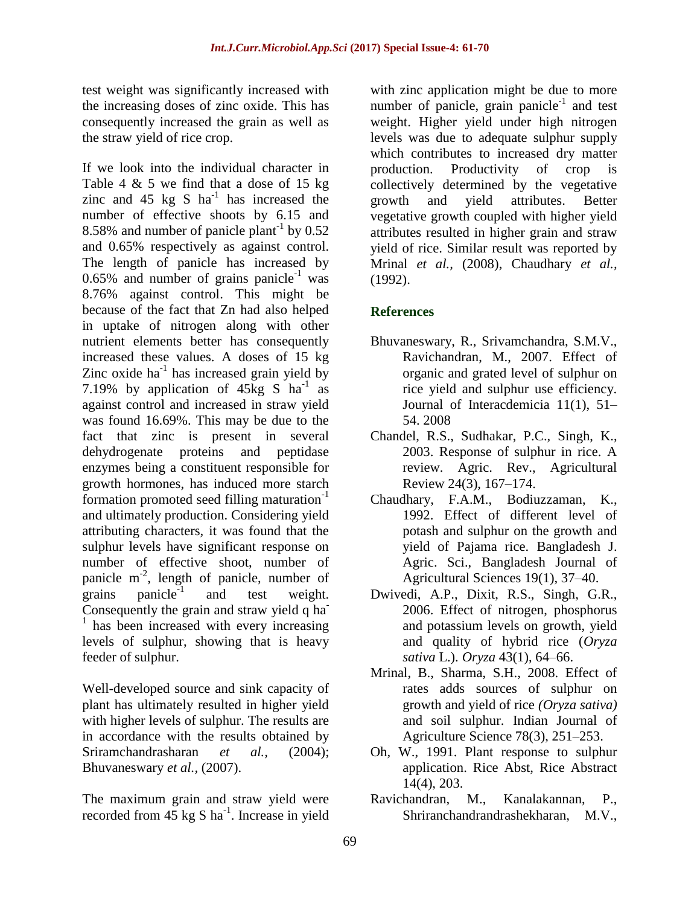test weight was significantly increased with the increasing doses of zinc oxide. This has consequently increased the grain as well as the straw yield of rice crop.

If we look into the individual character in Table 4  $\&$  5 we find that a dose of 15 kg zinc and  $45 \text{ kg } S$  ha<sup>-1</sup> has increased the number of effective shoots by 6.15 and 8.58% and number of panicle plant<sup>-1</sup> by  $0.52$ and 0.65% respectively as against control. The length of panicle has increased by 0.65% and number of grains panicle<sup>-1</sup> was 8.76% against control. This might be because of the fact that Zn had also helped in uptake of nitrogen along with other nutrient elements better has consequently increased these values. A doses of 15 kg Zinc oxide  $ha^{-1}$  has increased grain yield by 7.19% by application of  $45\text{kg}$  S ha<sup>-1</sup> as against control and increased in straw yield was found 16.69%. This may be due to the fact that zinc is present in several dehydrogenate proteins and peptidase enzymes being a constituent responsible for growth hormones, has induced more starch formation promoted seed filling maturation<sup>-1</sup> and ultimately production. Considering yield attributing characters, it was found that the sulphur levels have significant response on number of effective shoot, number of panicle  $m^{-2}$ , length of panicle, number of grains  $panicle^{-1}$ and test weight. Consequently the grain and straw yield q ha<sup>-</sup> <sup>1</sup> has been increased with every increasing levels of sulphur, showing that is heavy feeder of sulphur.

Well-developed source and sink capacity of plant has ultimately resulted in higher yield with higher levels of sulphur. The results are in accordance with the results obtained by Sriramchandrasharan *et al.,* (2004); Bhuvaneswary *et al.,* (2007).

The maximum grain and straw yield were recorded from  $45 \text{ kg S} \text{ ha}^{-1}$ . Increase in yield with zinc application might be due to more number of panicle, grain panicle<sup>-1</sup> and test weight. Higher yield under high nitrogen levels was due to adequate sulphur supply which contributes to increased dry matter production. Productivity of crop is collectively determined by the vegetative growth and yield attributes. Better vegetative growth coupled with higher yield attributes resulted in higher grain and straw yield of rice. Similar result was reported by Mrinal *et al.,* (2008), Chaudhary *et al.,* (1992).

## **References**

- Bhuvaneswary, R., Srivamchandra, S.M.V., Ravichandran, M., 2007. Effect of organic and grated level of sulphur on rice yield and sulphur use efficiency. Journal of Interacdemicia 11(1), 51– 54. 2008
- Chandel, R.S., Sudhakar, P.C., Singh, K., 2003. Response of sulphur in rice. A review. Agric. Rev., Agricultural Review 24(3), 167–174.
- Chaudhary, F.A.M., Bodiuzzaman, K., 1992. Effect of different level of potash and sulphur on the growth and yield of Pajama rice. Bangladesh J. Agric. Sci., Bangladesh Journal of Agricultural Sciences 19(1), 37–40.
- Dwivedi, A.P., Dixit, R.S., Singh, G.R., 2006. Effect of nitrogen, phosphorus and potassium levels on growth, yield and quality of hybrid rice (*Oryza sativa* L.). *Oryza* 43(1), 64–66.
- Mrinal, B., Sharma, S.H., 2008. Effect of rates adds sources of sulphur on growth and yield of rice *(Oryza sativa)* and soil sulphur. Indian Journal of Agriculture Science 78(3), 251–253.
- Oh, W., 1991. Plant response to sulphur application. Rice Abst, Rice Abstract 14(4), 203.
- Ravichandran, M., Kanalakannan, P., Shriranchandrandrashekharan, M.V.,